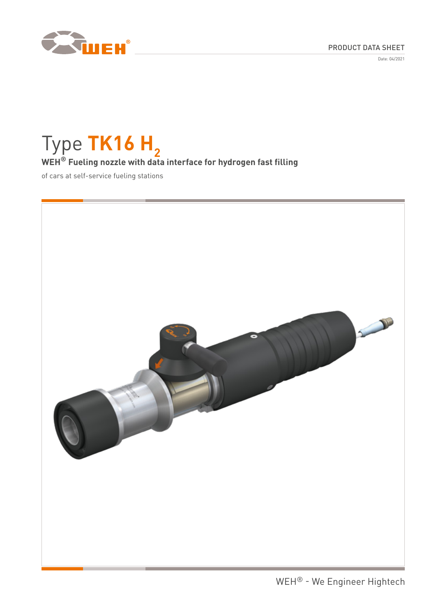PRODUCT DATA SHEET

Date: 04/2021



# Type **TK16 H**<sub>2</sub> **WEH® Fueling nozzle with data interface for hydrogen fast filling**

of cars at self-service fueling stations

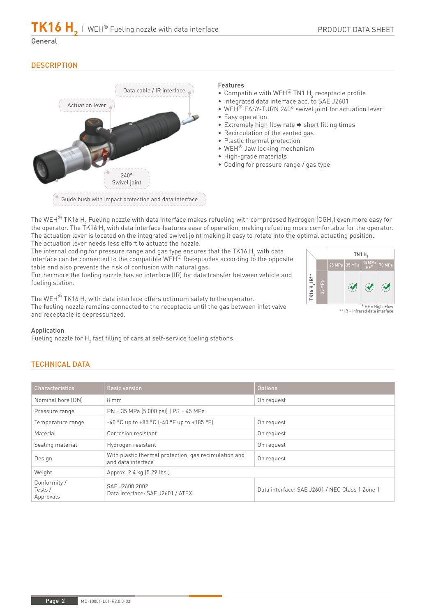## General

## **DESCRIPTION**



#### Features

- Compatible with WEH<sup>®</sup> TN1  $H_2$  receptacle profile
- Integrated data interface acc. to SAE J2601
- WEH<sup>®</sup> EASY-TURN 240° swivel joint for actuation lever • Easy operation
- $\bullet$  Extremely high flow rate  $\bullet$  short filling times
- Recirculation of the vented gas
- Plastic thermal protection
- WEH® Jaw locking mechanism
- High-grade materials
- Coding for pressure range / gas type

The WEH $^\circ$  TK16 H $_2$  Fueling nozzle with data interface makes refueling with compressed hydrogen (CGH $_2$ ) even more easy for the operator. The TK16 H<sub>2</sub> with data interface features ease of operation, making refueling more comfortable for the operator. The actuation lever is located on the integrated swivel joint making it easy to rotate into the optimal actuating position. The actuation lever needs less effort to actuate the nozzle.

The internal coding for pressure range and gas type ensures that the TK16  $\mathsf{H}_{_2}$  with data interface can be connected to the compatible  $WEH^{\circledast}$  Receptacles according to the opposite table and also prevents the risk of confusion with natural gas.

Furthermore the fueling nozzle has an interface (IR) for data transfer between vehicle and fueling station.

The WEH $^\circledR$  TK16 H $_2$  with data interface offers optimum safety to the operator. The fueling nozzle remains connected to the receptacle until the gas between inlet valve and receptacle is depressurized.



\* HF = High-Flow \*\* IR = infrared data interface

### Application

Fueling nozzle for  $\mathsf{H}_\mathsf{2}$  fast filling of cars at self-service fueling stations.

## TECHNICAL DATA

| <b>Characteristics</b>             | <b>Basic version</b>                                                         | <b>Options</b>                                 |
|------------------------------------|------------------------------------------------------------------------------|------------------------------------------------|
| Nominal bore (DN)                  | $8 \text{ mm}$<br>On request                                                 |                                                |
| Pressure range                     | $PN = 35 MPa (5,000 psi) PS = 45 MPa$                                        |                                                |
| Temperature range                  | $-40$ °C up to $+85$ °C ( $-40$ °F up to $+185$ °F)                          | On request                                     |
| Material                           | Corrosion resistant                                                          | On request                                     |
| Sealing material                   | Hydrogen resistant                                                           | On request                                     |
| Design                             | With plastic thermal protection, gas recirculation and<br>and data interface | On request                                     |
| Weight                             | Approx. 2.4 kg (5.29 lbs.)                                                   |                                                |
| Conformity/<br>Tests/<br>Approvals | SAE J2600:2002<br>Data interface: SAE J2601 / ATEX                           | Data interface: SAE J2601 / NEC Class 1 Zone 1 |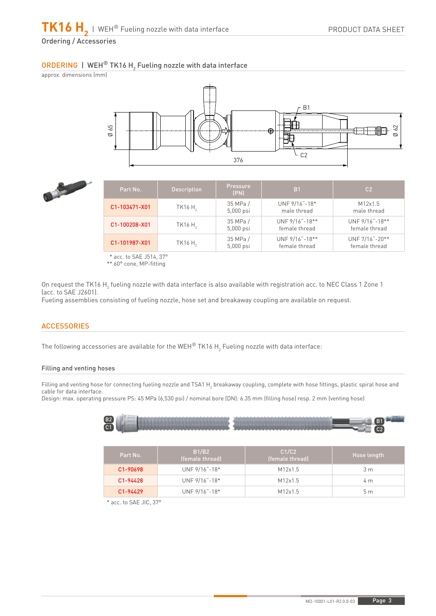## $\overline{\textsf{ORDERING}}$  | WEH $^\circledR$  TK16 H $_2$  Fueling nozzle with data interface





| Part No.      | <b>Description</b>  | <b>Pressure</b><br>(PN) | B <sub>1</sub>                  | C <sub>2</sub>                  |
|---------------|---------------------|-------------------------|---------------------------------|---------------------------------|
| C1-103471-X01 | TK16 H <sub>2</sub> | 35 MPa /<br>$5,000$ psi | UNF 9/16"-18*<br>male thread    | M12x1.5<br>male thread          |
| C1-100208-X01 | TK16H <sub>2</sub>  | 35 MPa /<br>$5,000$ psi | UNF 9/16"-18**<br>female thread | UNF 9/16"-18**<br>female thread |
| C1-101987-X01 | TK16H <sub>2</sub>  | 35 MPa /<br>$5,000$ psi | UNF 9/16"-18**<br>female thread | UNF 7/16"-20**<br>female thread |

\* acc. to SAE J514, 37°

\*\* 60° cone, MP-fitting

On request the TK16 H<sub>2</sub> fueling nozzle with data interface is also available with registration acc. to NEC Class 1 Zone 1 (acc. to SAE J2601).

Fueling assemblies consisting of fueling nozzle, hose set and breakaway coupling are available on request.

## **ACCESSORIES**

The following accessories are available for the WEH $^\circ$  TK16 H $_2$  Fueling nozzle with data interface:

### Filling and venting hoses

Filling and venting hose for connecting fueling nozzle and TSA1 H $_{\rm 2}$  breakaway coupling, complete with hose fittings, plastic spiral hose and cable for data interface.

Design: max. operating pressure PS: 45 MPa (6,530 psi) / nominal bore (DN): 6.35 mm (filling hose) resp. 2 mm (venting hose)



| Part No.              | B1/B2<br>(female thread) | C1/C2<br>(female thread) | Hose length    |
|-----------------------|--------------------------|--------------------------|----------------|
| C <sub>1</sub> -90698 | $UNF 9/16" - 18*$        | M12x1.5                  | 3 m            |
| C1-94428              | $UNF 9/16" - 18*$        | M12x1.5                  | 4 m            |
| C1-94429              | $UNF 9/16" - 18*$        | M12x1.5                  | 5 <sub>m</sub> |

\* acc. to SAE JIC, 37°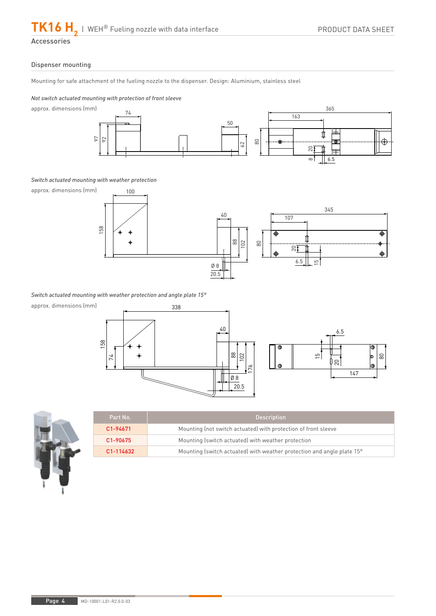Accessories

#### Dispenser mounting

Mounting for safe attachment of the fueling nozzle to the dispenser. Design: Aluminium, stainless steel

#### *Not switch actuated mounting with protection of front sleeve*

approx. dimensions (mm)



#### *Switch actuated mounting with weather protection*



*Switch actuated mounting with weather protection and angle plate 15°*

approx. dimensions (mm)





| Part No.  | <b>Description</b>                                                     |  |
|-----------|------------------------------------------------------------------------|--|
| C1-94671  | Mounting (not switch actuated) with protection of front sleeve         |  |
| C1-90675  | Mounting (switch actuated) with weather protection                     |  |
| C1-114632 | Mounting (switch actuated) with weather protection and angle plate 15° |  |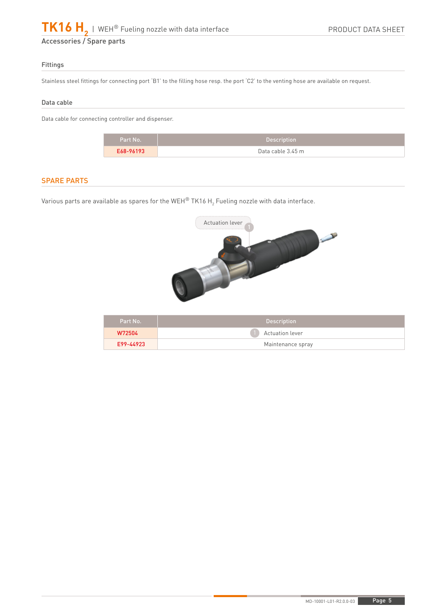#### Fittings

Stainless steel fittings for connecting port 'B1' to the filling hose resp. the port 'C2' to the venting hose are available on request.

#### Data cable

Data cable for connecting controller and dispenser.

| Part No.  | <b>Description</b> |
|-----------|--------------------|
| E68-96193 | Data cable 3.45 m  |

## SPARE PARTS

Various parts are available as spares for the WEH $^\circ$  TK16 H $_2$  Fueling nozzle with data interface.



| Part No.  | <b>Description</b>     |  |
|-----------|------------------------|--|
| W72504    | <b>Actuation lever</b> |  |
| E99-44923 | Maintenance spray      |  |